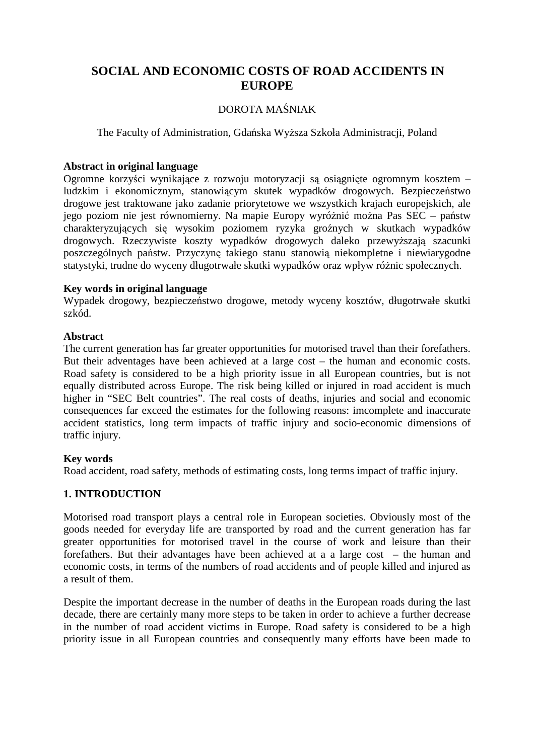# **SOCIAL AND ECONOMIC COSTS OF ROAD ACCIDENTS IN EUROPE**

### DOROTA MAŚNIAK

The Faculty of Administration, Gdańska Wyższa Szkoła Administracji, Poland

### **Abstract in original language**

Ogromne korzyści wynikające z rozwoju motoryzacji są osiągnięte ogromnym kosztem – ludzkim i ekonomicznym, stanowiącym skutek wypadków drogowych. Bezpieczeństwo drogowe jest traktowane jako zadanie priorytetowe we wszystkich krajach europejskich, ale jego poziom nie jest równomierny. Na mapie Europy wyróżnić można Pas SEC – państw charakteryzujących się wysokim poziomem ryzyka groźnych w skutkach wypadków drogowych. Rzeczywiste koszty wypadków drogowych daleko przewyższają szacunki poszczególnych państw. Przyczynę takiego stanu stanowią niekompletne i niewiarygodne statystyki, trudne do wyceny długotrwałe skutki wypadków oraz wpływ różnic społecznych.

### **Key words in original language**

Wypadek drogowy, bezpieczeństwo drogowe, metody wyceny kosztów, długotrwałe skutki szkód.

#### **Abstract**

The current generation has far greater opportunities for motorised travel than their forefathers. But their adventages have been achieved at a large cost – the human and economic costs. Road safety is considered to be a high priority issue in all European countries, but is not equally distributed across Europe. The risk being killed or injured in road accident is much higher in "SEC Belt countries". The real costs of deaths, injuries and social and economic consequences far exceed the estimates for the following reasons: imcomplete and inaccurate accident statistics, long term impacts of traffic injury and socio-economic dimensions of traffic injury.

#### **Key words**

Road accident, road safety, methods of estimating costs, long terms impact of traffic injury.

### **1. INTRODUCTION**

Motorised road transport plays a central role in European societies. Obviously most of the goods needed for everyday life are transported by road and the current generation has far greater opportunities for motorised travel in the course of work and leisure than their forefathers. But their advantages have been achieved at a a large cost – the human and economic costs, in terms of the numbers of road accidents and of people killed and injured as a result of them.

Despite the important decrease in the number of deaths in the European roads during the last decade, there are certainly many more steps to be taken in order to achieve a further decrease in the number of road accident victims in Europe. Road safety is considered to be a high priority issue in all European countries and consequently many efforts have been made to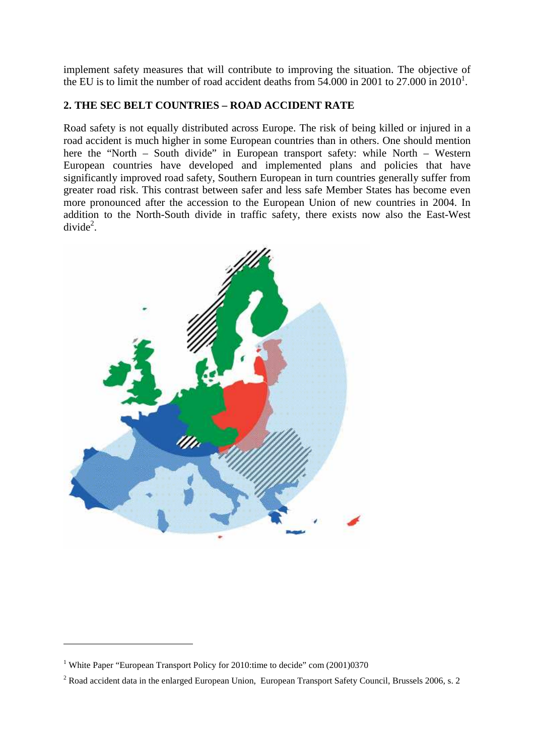implement safety measures that will contribute to improving the situation. The objective of the EU is to limit the number of road accident deaths from  $54.000$  in 2001 to  $27.000$  in  $2010<sup>1</sup>$ .

# **2. THE SEC BELT COUNTRIES – ROAD ACCIDENT RATE**

Road safety is not equally distributed across Europe. The risk of being killed or injured in a road accident is much higher in some European countries than in others. One should mention here the "North – South divide" in European transport safety: while North – Western European countries have developed and implemented plans and policies that have significantly improved road safety, Southern European in turn countries generally suffer from greater road risk. This contrast between safer and less safe Member States has become even more pronounced after the accession to the European Union of new countries in 2004. In addition to the North-South divide in traffic safety, there exists now also the East-West  $divide<sup>2</sup>$ .



<sup>&</sup>lt;sup>1</sup> White Paper "European Transport Policy for 2010:time to decide" com (2001)0370

<sup>&</sup>lt;sup>2</sup> Road accident data in the enlarged European Union, European Transport Safety Council, Brussels 2006, s. 2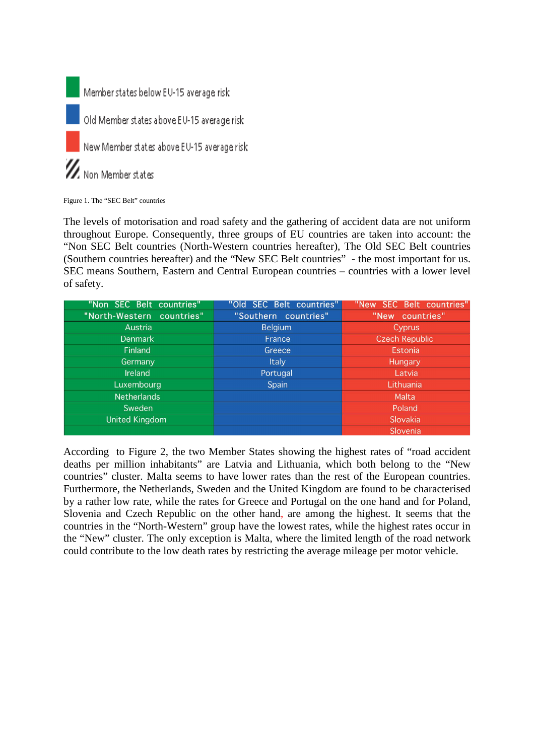

Figure 1. The "SEC Belt" countries

The levels of motorisation and road safety and the gathering of accident data are not uniform throughout Europe. Consequently, three groups of EU countries are taken into account: the "Non SEC Belt countries (North-Western countries hereafter), The Old SEC Belt countries (Southern countries hereafter) and the "New SEC Belt countries" - the most important for us. SEC means Southern, Eastern and Central European countries – countries with a lower level of safety.

| "Non SEC Belt countries"  | "Old SEC Belt countries" | "New SEC Belt countries" |
|---------------------------|--------------------------|--------------------------|
| "North-Western countries" | "Southern countries"     | "New countries"          |
| Austria                   | <b>Belgium</b>           | <b>Cyprus</b>            |
| <b>Denmark</b>            | France                   | <b>Czech Republic</b>    |
| Finland                   | Greece                   | <b>Estonia</b>           |
| Germany                   | <b>Italy</b>             | Hungary                  |
| Ireland                   | Portugal                 | Latvia                   |
| Luxembourg                | Spain                    | Lithuania                |
| <b>Netherlands</b>        |                          | Malta                    |
| Sweden                    |                          | Poland                   |
| <b>United Kingdom</b>     |                          | Slovakia                 |
|                           |                          | Slovenia                 |

According to Figure 2, the two Member States showing the highest rates of "road accident deaths per million inhabitants" are Latvia and Lithuania, which both belong to the "New countries" cluster. Malta seems to have lower rates than the rest of the European countries. Furthermore, the Netherlands, Sweden and the United Kingdom are found to be characterised by a rather low rate, while the rates for Greece and Portugal on the one hand and for Poland, Slovenia and Czech Republic on the other hand, are among the highest. It seems that the countries in the "North-Western" group have the lowest rates, while the highest rates occur in the "New" cluster. The only exception is Malta, where the limited length of the road network could contribute to the low death rates by restricting the average mileage per motor vehicle.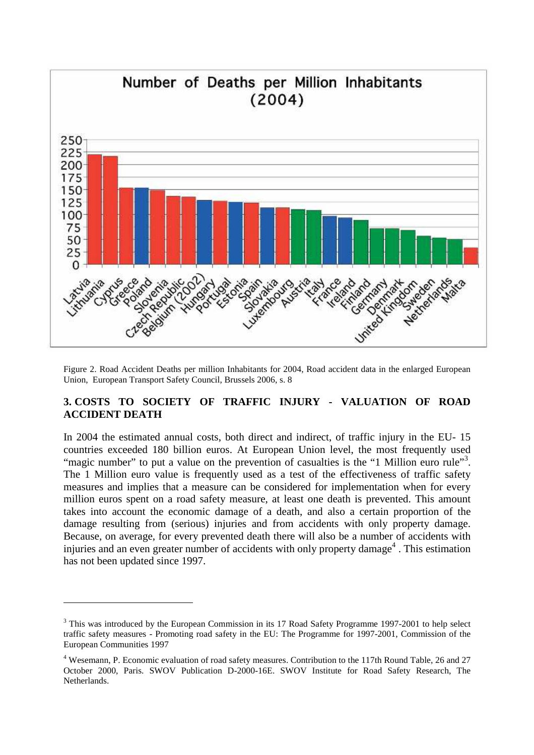

Figure 2. Road Accident Deaths per million Inhabitants for 2004, Road accident data in the enlarged European Union, European Transport Safety Council, Brussels 2006, s. 8

### **3. COSTS TO SOCIETY OF TRAFFIC INJURY - VALUATION OF ROAD ACCIDENT DEATH**

In 2004 the estimated annual costs, both direct and indirect, of traffic injury in the EU- 15 countries exceeded 180 billion euros. At European Union level, the most frequently used "magic number" to put a value on the prevention of casualties is the "1 Million euro rule"<sup>3</sup>. The 1 Million euro value is frequently used as a test of the effectiveness of traffic safety measures and implies that a measure can be considered for implementation when for every million euros spent on a road safety measure, at least one death is prevented. This amount takes into account the economic damage of a death, and also a certain proportion of the damage resulting from (serious) injuries and from accidents with only property damage. Because, on average, for every prevented death there will also be a number of accidents with injuries and an even greater number of accidents with only property damage<sup>4</sup>. This estimation has not been updated since 1997.

 $3$  This was introduced by the European Commission in its 17 Road Safety Programme 1997-2001 to help select traffic safety measures - Promoting road safety in the EU: The Programme for 1997-2001, Commission of the European Communities 1997

<sup>&</sup>lt;sup>4</sup> Wesemann, P. Economic evaluation of road safety measures. Contribution to the 117th Round Table, 26 and 27 October 2000, Paris. SWOV Publication D-2000-16E. SWOV Institute for Road Safety Research, The Netherlands.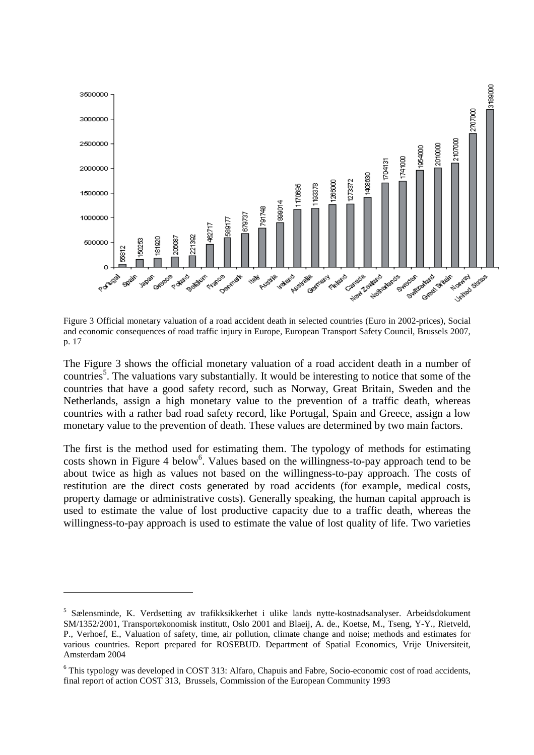

Figure 3 Official monetary valuation of a road accident death in selected countries (Euro in 2002-prices), Social and economic consequences of road traffic injury in Europe, European Transport Safety Council, Brussels 2007, p. 17

The Figure 3 shows the official monetary valuation of a road accident death in a number of countries<sup>5</sup>. The valuations vary substantially. It would be interesting to notice that some of the countries that have a good safety record, such as Norway, Great Britain, Sweden and the Netherlands, assign a high monetary value to the prevention of a traffic death, whereas countries with a rather bad road safety record, like Portugal, Spain and Greece, assign a low monetary value to the prevention of death. These values are determined by two main factors.

The first is the method used for estimating them. The typology of methods for estimating costs shown in Figure 4 below<sup>6</sup>. Values based on the willingness-to-pay approach tend to be about twice as high as values not based on the willingness-to-pay approach. The costs of restitution are the direct costs generated by road accidents (for example, medical costs, property damage or administrative costs). Generally speaking, the human capital approach is used to estimate the value of lost productive capacity due to a traffic death, whereas the willingness-to-pay approach is used to estimate the value of lost quality of life. Two varieties

<sup>&</sup>lt;sup>5</sup> Sælensminde, K. Verdsetting av trafikksikkerhet i ulike lands nytte-kostnadsanalyser. Arbeidsdokument SM/1352/2001, Transportøkonomisk institutt, Oslo 2001 and Blaeij, A. de., Koetse, M., Tseng, Y-Y., Rietveld, P., Verhoef, E., Valuation of safety, time, air pollution, climate change and noise; methods and estimates for various countries. Report prepared for ROSEBUD. Department of Spatial Economics, Vrije Universiteit, Amsterdam 2004

<sup>&</sup>lt;sup>6</sup> This typology was developed in COST 313: Alfaro, Chapuis and Fabre, Socio-economic cost of road accidents, final report of action COST 313, Brussels, Commission of the European Community 1993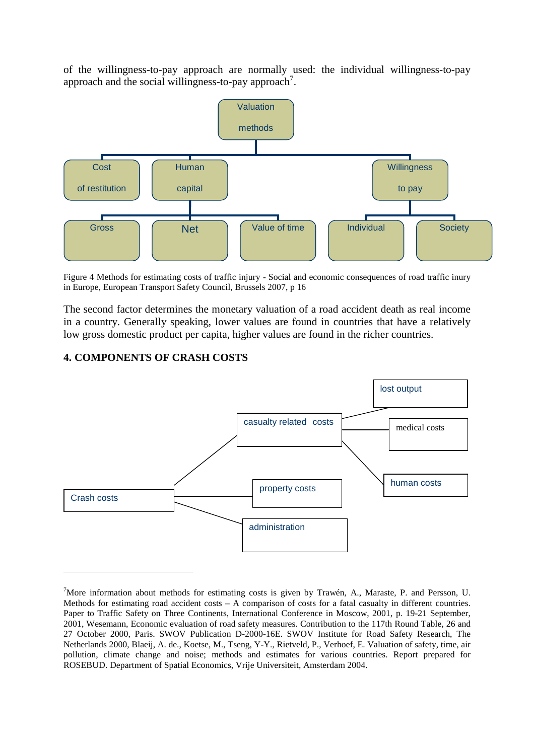of the willingness-to-pay approach are normally used: the individual willingness-to-pay approach and the social willingness-to-pay approach<sup>7</sup>.



Figure 4 Methods for estimating costs of traffic injury - Social and economic consequences of road traffic inury in Europe, European Transport Safety Council, Brussels 2007, p 16

The second factor determines the monetary valuation of a road accident death as real income in a country. Generally speaking, lower values are found in countries that have a relatively low gross domestic product per capita, higher values are found in the richer countries.

#### **4. COMPONENTS OF CRASH COSTS**



<sup>&</sup>lt;sup>7</sup>More information about methods for estimating costs is given by Trawén, A., Maraste, P. and Persson, U. Methods for estimating road accident costs – A comparison of costs for a fatal casualty in different countries. Paper to Traffic Safety on Three Continents, International Conference in Moscow, 2001, p. 19-21 September, 2001, Wesemann, Economic evaluation of road safety measures. Contribution to the 117th Round Table, 26 and 27 October 2000, Paris. SWOV Publication D-2000-16E. SWOV Institute for Road Safety Research, The Netherlands 2000, Blaeij, A. de., Koetse, M., Tseng, Y-Y., Rietveld, P., Verhoef, E. Valuation of safety, time, air pollution, climate change and noise; methods and estimates for various countries. Report prepared for ROSEBUD. Department of Spatial Economics, Vrije Universiteit, Amsterdam 2004.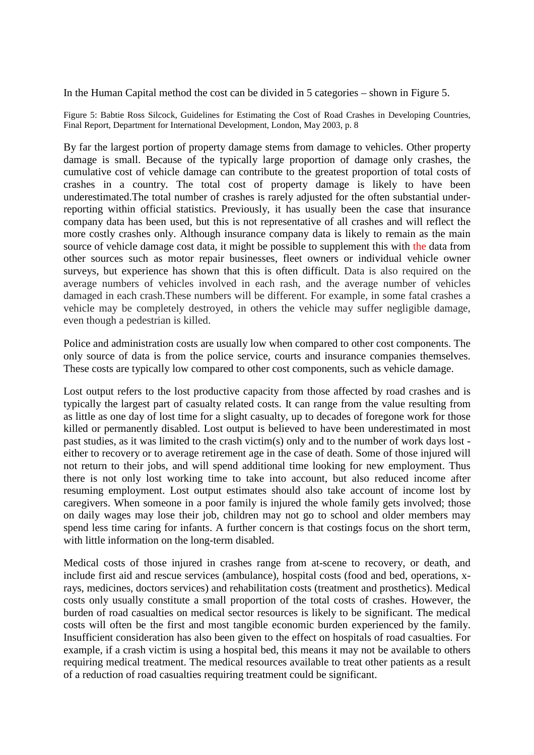In the Human Capital method the cost can be divided in 5 categories – shown in Figure 5.

Figure 5: Babtie Ross Silcock, Guidelines for Estimating the Cost of Road Crashes in Developing Countries, Final Report, Department for International Development, London, May 2003, p. 8

By far the largest portion of property damage stems from damage to vehicles. Other property damage is small. Because of the typically large proportion of damage only crashes, the cumulative cost of vehicle damage can contribute to the greatest proportion of total costs of crashes in a country. The total cost of property damage is likely to have been underestimated.The total number of crashes is rarely adjusted for the often substantial underreporting within official statistics. Previously, it has usually been the case that insurance company data has been used, but this is not representative of all crashes and will reflect the more costly crashes only. Although insurance company data is likely to remain as the main source of vehicle damage cost data, it might be possible to supplement this with the data from other sources such as motor repair businesses, fleet owners or individual vehicle owner surveys, but experience has shown that this is often difficult. Data is also required on the average numbers of vehicles involved in each rash, and the average number of vehicles damaged in each crash.These numbers will be different. For example, in some fatal crashes a vehicle may be completely destroyed, in others the vehicle may suffer negligible damage, even though a pedestrian is killed.

Police and administration costs are usually low when compared to other cost components. The only source of data is from the police service, courts and insurance companies themselves. These costs are typically low compared to other cost components, such as vehicle damage.

Lost output refers to the lost productive capacity from those affected by road crashes and is typically the largest part of casualty related costs. It can range from the value resulting from as little as one day of lost time for a slight casualty, up to decades of foregone work for those killed or permanently disabled. Lost output is believed to have been underestimated in most past studies, as it was limited to the crash victim(s) only and to the number of work days lost either to recovery or to average retirement age in the case of death. Some of those injured will not return to their jobs, and will spend additional time looking for new employment. Thus there is not only lost working time to take into account, but also reduced income after resuming employment. Lost output estimates should also take account of income lost by caregivers. When someone in a poor family is injured the whole family gets involved; those on daily wages may lose their job, children may not go to school and older members may spend less time caring for infants. A further concern is that costings focus on the short term, with little information on the long-term disabled.

Medical costs of those injured in crashes range from at-scene to recovery, or death, and include first aid and rescue services (ambulance), hospital costs (food and bed, operations, xrays, medicines, doctors services) and rehabilitation costs (treatment and prosthetics). Medical costs only usually constitute a small proportion of the total costs of crashes. However, the burden of road casualties on medical sector resources is likely to be significant. The medical costs will often be the first and most tangible economic burden experienced by the family. Insufficient consideration has also been given to the effect on hospitals of road casualties. For example, if a crash victim is using a hospital bed, this means it may not be available to others requiring medical treatment. The medical resources available to treat other patients as a result of a reduction of road casualties requiring treatment could be significant.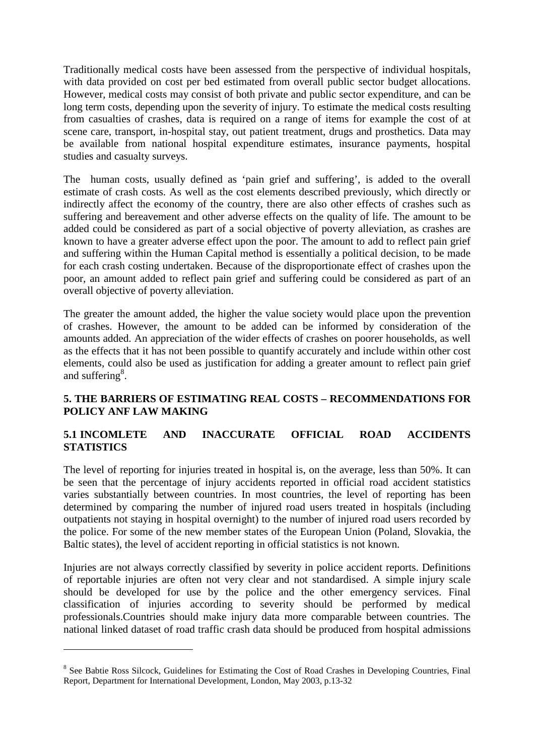Traditionally medical costs have been assessed from the perspective of individual hospitals, with data provided on cost per bed estimated from overall public sector budget allocations. However, medical costs may consist of both private and public sector expenditure, and can be long term costs, depending upon the severity of injury. To estimate the medical costs resulting from casualties of crashes, data is required on a range of items for example the cost of at scene care, transport, in-hospital stay, out patient treatment, drugs and prosthetics. Data may be available from national hospital expenditure estimates, insurance payments, hospital studies and casualty surveys.

The human costs, usually defined as 'pain grief and suffering', is added to the overall estimate of crash costs. As well as the cost elements described previously, which directly or indirectly affect the economy of the country, there are also other effects of crashes such as suffering and bereavement and other adverse effects on the quality of life. The amount to be added could be considered as part of a social objective of poverty alleviation, as crashes are known to have a greater adverse effect upon the poor. The amount to add to reflect pain grief and suffering within the Human Capital method is essentially a political decision, to be made for each crash costing undertaken. Because of the disproportionate effect of crashes upon the poor, an amount added to reflect pain grief and suffering could be considered as part of an overall objective of poverty alleviation.

The greater the amount added, the higher the value society would place upon the prevention of crashes. However, the amount to be added can be informed by consideration of the amounts added. An appreciation of the wider effects of crashes on poorer households, as well as the effects that it has not been possible to quantify accurately and include within other cost elements, could also be used as justification for adding a greater amount to reflect pain grief and suffering<sup>8</sup>.

### **5. THE BARRIERS OF ESTIMATING REAL COSTS – RECOMMENDATIONS FOR POLICY ANF LAW MAKING**

## **5.1 INCOMLETE AND INACCURATE OFFICIAL ROAD ACCIDENTS STATISTICS**

The level of reporting for injuries treated in hospital is, on the average, less than 50%. It can be seen that the percentage of injury accidents reported in official road accident statistics varies substantially between countries. In most countries, the level of reporting has been determined by comparing the number of injured road users treated in hospitals (including outpatients not staying in hospital overnight) to the number of injured road users recorded by the police. For some of the new member states of the European Union (Poland, Slovakia, the Baltic states), the level of accident reporting in official statistics is not known.

Injuries are not always correctly classified by severity in police accident reports. Definitions of reportable injuries are often not very clear and not standardised. A simple injury scale should be developed for use by the police and the other emergency services. Final classification of injuries according to severity should be performed by medical professionals.Countries should make injury data more comparable between countries. The national linked dataset of road traffic crash data should be produced from hospital admissions

<sup>&</sup>lt;sup>8</sup> See Babtie Ross Silcock, Guidelines for Estimating the Cost of Road Crashes in Developing Countries, Final Report, Department for International Development, London, May 2003, p.13-32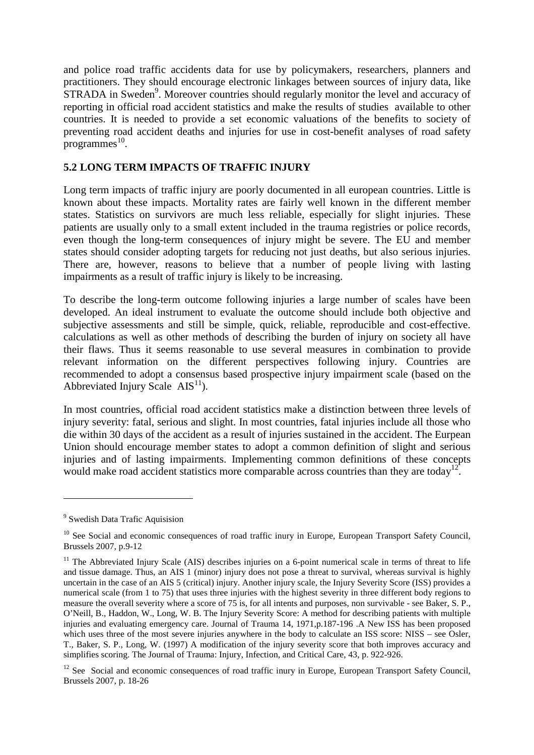and police road traffic accidents data for use by policymakers, researchers, planners and practitioners. They should encourage electronic linkages between sources of injury data, like STRADA in Sweden<sup>9</sup>. Moreover countries should regularly monitor the level and accuracy of reporting in official road accident statistics and make the results of studies available to other countries. It is needed to provide a set economic valuations of the benefits to society of preventing road accident deaths and injuries for use in cost-benefit analyses of road safety  $_{\text{progress}}^{10}$ .

## **5.2 LONG TERM IMPACTS OF TRAFFIC INJURY**

Long term impacts of traffic injury are poorly documented in all european countries. Little is known about these impacts. Mortality rates are fairly well known in the different member states. Statistics on survivors are much less reliable, especially for slight injuries. These patients are usually only to a small extent included in the trauma registries or police records, even though the long-term consequences of injury might be severe. The EU and member states should consider adopting targets for reducing not just deaths, but also serious injuries. There are, however, reasons to believe that a number of people living with lasting impairments as a result of traffic injury is likely to be increasing.

To describe the long-term outcome following injuries a large number of scales have been developed. An ideal instrument to evaluate the outcome should include both objective and subjective assessments and still be simple, quick, reliable, reproducible and cost-effective. calculations as well as other methods of describing the burden of injury on society all have their flaws. Thus it seems reasonable to use several measures in combination to provide relevant information on the different perspectives following injury. Countries are recommended to adopt a consensus based prospective injury impairment scale (based on the Abbreviated Injury Scale  $\text{AIS}^{11}$ ).

In most countries, official road accident statistics make a distinction between three levels of injury severity: fatal, serious and slight. In most countries, fatal injuries include all those who die within 30 days of the accident as a result of injuries sustained in the accident. The Eurpean Union should encourage member states to adopt a common definition of slight and serious injuries and of lasting impairments. Implementing common definitions of these concepts would make road accident statistics more comparable across countries than they are today<sup>12</sup>.

<sup>&</sup>lt;sup>9</sup> Swedish Data Trafic Aquisision

<sup>&</sup>lt;sup>10</sup> See Social and economic consequences of road traffic inury in Europe, European Transport Safety Council, Brussels 2007, p.9-12

 $11$  The Abbreviated Injury Scale (AIS) describes injuries on a 6-point numerical scale in terms of threat to life and tissue damage. Thus, an AIS 1 (minor) injury does not pose a threat to survival, whereas survival is highly uncertain in the case of an AIS 5 (critical) injury. Another injury scale, the Injury Severity Score (ISS) provides a numerical scale (from 1 to 75) that uses three injuries with the highest severity in three different body regions to measure the overall severity where a score of 75 is, for all intents and purposes, non survivable - see Baker, S. P., O'Neill, B., Haddon, W., Long, W. B. The Injury Severity Score: A method for describing patients with multiple injuries and evaluating emergency care. Journal of Trauma 14, 1971, p.187-196 .A New ISS has been proposed which uses three of the most severe injuries anywhere in the body to calculate an ISS score: NISS – see Osler, T., Baker, S. P., Long, W. (1997) A modification of the injury severity score that both improves accuracy and simplifies scoring. The Journal of Trauma: Injury, Infection, and Critical Care, 43, p. 922-926.

<sup>&</sup>lt;sup>12</sup> See Social and economic consequences of road traffic inury in Europe, European Transport Safety Council, Brussels 2007, p. 18-26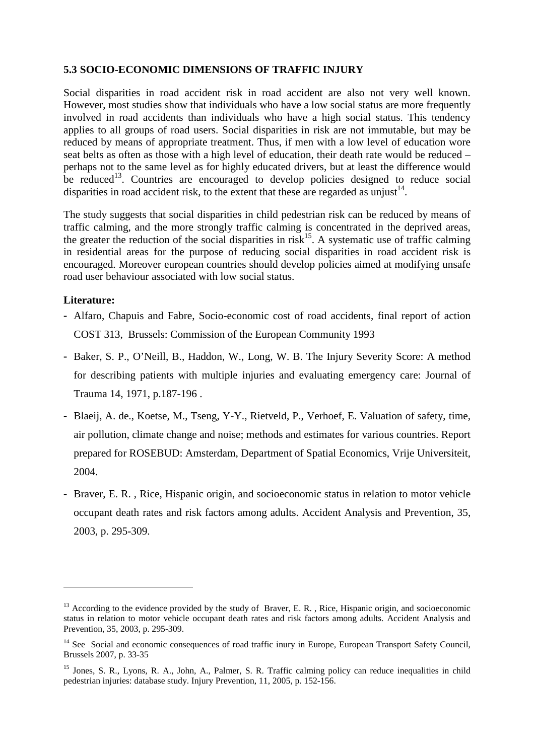### **5.3 SOCIO-ECONOMIC DIMENSIONS OF TRAFFIC INJURY**

Social disparities in road accident risk in road accident are also not very well known. However, most studies show that individuals who have a low social status are more frequently involved in road accidents than individuals who have a high social status. This tendency applies to all groups of road users. Social disparities in risk are not immutable, but may be reduced by means of appropriate treatment. Thus, if men with a low level of education wore seat belts as often as those with a high level of education, their death rate would be reduced – perhaps not to the same level as for highly educated drivers, but at least the difference would be reduced<sup>13</sup>. Countries are encouraged to develop policies designed to reduce social disparities in road accident risk, to the extent that these are regarded as unjust<sup>14</sup>.

The study suggests that social disparities in child pedestrian risk can be reduced by means of traffic calming, and the more strongly traffic calming is concentrated in the deprived areas, the greater the reduction of the social disparities in  $risk^{15}$ . A systematic use of traffic calming in residential areas for the purpose of reducing social disparities in road accident risk is encouraged. Moreover european countries should develop policies aimed at modifying unsafe road user behaviour associated with low social status.

#### **Literature:**

- Alfaro, Chapuis and Fabre, Socio-economic cost of road accidents, final report of action COST 313, Brussels: Commission of the European Community 1993
- Baker, S. P., O'Neill, B., Haddon, W., Long, W. B. The Injury Severity Score: A method for describing patients with multiple injuries and evaluating emergency care: Journal of Trauma 14, 1971, p.187-196 .
- Blaeij, A. de., Koetse, M., Tseng, Y-Y., Rietveld, P., Verhoef, E. Valuation of safety, time, air pollution, climate change and noise; methods and estimates for various countries. Report prepared for ROSEBUD: Amsterdam, Department of Spatial Economics, Vrije Universiteit, 2004.
- Braver, E. R. , Rice, Hispanic origin, and socioeconomic status in relation to motor vehicle occupant death rates and risk factors among adults. Accident Analysis and Prevention, 35, 2003, p. 295-309.

<sup>&</sup>lt;sup>13</sup> According to the evidence provided by the study of Braver, E. R., Rice, Hispanic origin, and socioeconomic status in relation to motor vehicle occupant death rates and risk factors among adults. Accident Analysis and Prevention, 35, 2003, p. 295-309.

<sup>&</sup>lt;sup>14</sup> See Social and economic consequences of road traffic inury in Europe, European Transport Safety Council, Brussels 2007, p. 33-35

<sup>&</sup>lt;sup>15</sup> Jones, S. R., Lyons, R. A., John, A., Palmer, S. R. Traffic calming policy can reduce inequalities in child pedestrian injuries: database study. Injury Prevention, 11, 2005, p. 152-156.